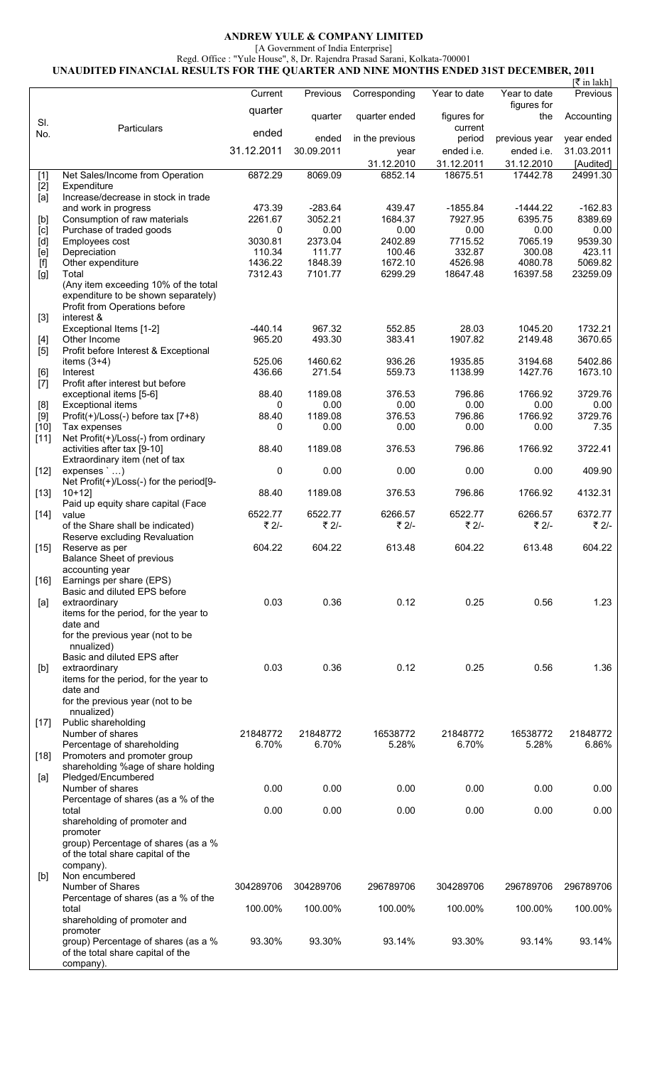## **ANDREW YULE & COMPANY LIMITED**

[A Government of India Enterprise]

Regd. Office : "Yule House", 8, Dr. Rajendra Prasad Sarani, Kolkata-700001 **UNAUDITED FINANCIAL RESULTS FOR THE QUARTER AND NINE MONTHS ENDED 31ST DECEMBER, 2011** 

|                                                                                                                                                                                                                                                                                                                                                                                                                                                                                                                                                                                                                    |                                                                                                              |                   |                   |                   |                        |                    | [₹ in lakh]       |
|--------------------------------------------------------------------------------------------------------------------------------------------------------------------------------------------------------------------------------------------------------------------------------------------------------------------------------------------------------------------------------------------------------------------------------------------------------------------------------------------------------------------------------------------------------------------------------------------------------------------|--------------------------------------------------------------------------------------------------------------|-------------------|-------------------|-------------------|------------------------|--------------------|-------------------|
|                                                                                                                                                                                                                                                                                                                                                                                                                                                                                                                                                                                                                    |                                                                                                              | Current           | Previous          | Corresponding     | Year to date           | Year to date       | Previous          |
| SI.                                                                                                                                                                                                                                                                                                                                                                                                                                                                                                                                                                                                                | Particulars                                                                                                  | quarter           | quarter           | quarter ended     | figures for<br>current | figures for<br>the | Accounting        |
| No.                                                                                                                                                                                                                                                                                                                                                                                                                                                                                                                                                                                                                |                                                                                                              | ended             | ended             | in the previous   | period                 | previous year      | year ended        |
|                                                                                                                                                                                                                                                                                                                                                                                                                                                                                                                                                                                                                    |                                                                                                              | 31.12.2011        | 30.09.2011        | year              | ended i.e.             | ended i.e.         | 31.03.2011        |
|                                                                                                                                                                                                                                                                                                                                                                                                                                                                                                                                                                                                                    |                                                                                                              |                   |                   | 31.12.2010        | 31.12.2011             | 31.12.2010         | [Audited]         |
| $[1]$                                                                                                                                                                                                                                                                                                                                                                                                                                                                                                                                                                                                              | Net Sales/Income from Operation<br>Expenditure                                                               | 6872.29           | 8069.09           | 6852.14           | 18675.51               | 17442.78           | 24991.30          |
| $[2]$<br>[a]                                                                                                                                                                                                                                                                                                                                                                                                                                                                                                                                                                                                       | Increase/decrease in stock in trade                                                                          |                   |                   |                   |                        |                    |                   |
|                                                                                                                                                                                                                                                                                                                                                                                                                                                                                                                                                                                                                    | and work in progress                                                                                         | 473.39            | $-283.64$         | 439.47            | $-1855.84$             | $-1444.22$         | $-162.83$         |
| $[b] % \begin{center} % \includegraphics[width=\linewidth]{imagesSupplemental_3.png} % \end{center} % \caption { % Our method can be used for the image. % } % \label{fig:example} %$                                                                                                                                                                                                                                                                                                                                                                                                                              | Consumption of raw materials                                                                                 | 2261.67           | 3052.21           | 1684.37           | 7927.95                | 6395.75            | 8389.69           |
| [c]<br>$[d] % \begin{center} % \includegraphics[width=\linewidth]{imagesSupplemental_3.png} % \end{center} % \caption { % Our method is used for the image. % Note that the \emph{Stab} and the \emph{Stab} can be used for the \emph{Stab} and the \emph{Stab} can be used for the \emph{Stab} and the \emph{Stab} can be used for the \emph{Stab} and the \emph{Stab} can be used for the \emph{Stab} and the \emph{Stab} can be used for the \emph{Stab} and the \emph{Stab} can be used for the \emph{Stab} and the \emph{Stab} can be used for the \emph{Stab} and the \emph{Stab} can be used for the \emph$ | Purchase of traded goods<br>Employees cost                                                                   | 0<br>3030.81      | 0.00<br>2373.04   | 0.00<br>2402.89   | 0.00<br>7715.52        | 0.00<br>7065.19    | 0.00<br>9539.30   |
| [e]                                                                                                                                                                                                                                                                                                                                                                                                                                                                                                                                                                                                                | Depreciation                                                                                                 | 110.34            | 111.77            | 100.46            | 332.87                 | 300.08             | 423.11            |
| $[f] % \centering \includegraphics[width=\textwidth]{Figures/PN1.png} % \caption{The figure shows the results of the estimators in the right panel. The left panel shows the results of the estimators in the right panel.} % \label{fig:TPN1} %$                                                                                                                                                                                                                                                                                                                                                                  | Other expenditure                                                                                            | 1436.22           | 1848.39           | 1672.10           | 4526.98                | 4080.78            | 5069.82           |
| [g]                                                                                                                                                                                                                                                                                                                                                                                                                                                                                                                                                                                                                | Total                                                                                                        | 7312.43           | 7101.77           | 6299.29           | 18647.48               | 16397.58           | 23259.09          |
|                                                                                                                                                                                                                                                                                                                                                                                                                                                                                                                                                                                                                    | (Any item exceeding 10% of the total<br>expenditure to be shown separately)<br>Profit from Operations before |                   |                   |                   |                        |                    |                   |
| $[3]$                                                                                                                                                                                                                                                                                                                                                                                                                                                                                                                                                                                                              | interest &                                                                                                   |                   |                   |                   |                        |                    |                   |
|                                                                                                                                                                                                                                                                                                                                                                                                                                                                                                                                                                                                                    | Exceptional Items [1-2]                                                                                      | $-440.14$         | 967.32            | 552.85            | 28.03                  | 1045.20            | 1732.21           |
| $[4]$<br>$[5]$                                                                                                                                                                                                                                                                                                                                                                                                                                                                                                                                                                                                     | Other Income<br>Profit before Interest & Exceptional                                                         | 965.20            | 493.30            | 383.41            | 1907.82                | 2149.48            | 3670.65           |
|                                                                                                                                                                                                                                                                                                                                                                                                                                                                                                                                                                                                                    | items $(3+4)$                                                                                                | 525.06            | 1460.62           | 936.26            | 1935.85                | 3194.68            | 5402.86           |
| [6]                                                                                                                                                                                                                                                                                                                                                                                                                                                                                                                                                                                                                | Interest                                                                                                     | 436.66            | 271.54            | 559.73            | 1138.99                | 1427.76            | 1673.10           |
| $[7]$                                                                                                                                                                                                                                                                                                                                                                                                                                                                                                                                                                                                              | Profit after interest but before                                                                             |                   |                   |                   |                        |                    |                   |
| [8]                                                                                                                                                                                                                                                                                                                                                                                                                                                                                                                                                                                                                | exceptional items [5-6]<br><b>Exceptional items</b>                                                          | 88.40<br>0        | 1189.08<br>0.00   | 376.53<br>0.00    | 796.86<br>0.00         | 1766.92<br>0.00    | 3729.76<br>0.00   |
| $[9]$                                                                                                                                                                                                                                                                                                                                                                                                                                                                                                                                                                                                              | Profit(+)/Loss(-) before tax [7+8)                                                                           | 88.40             | 1189.08           | 376.53            | 796.86                 | 1766.92            | 3729.76           |
| $[10]$                                                                                                                                                                                                                                                                                                                                                                                                                                                                                                                                                                                                             | Tax expenses                                                                                                 | 0                 | 0.00              | 0.00              | 0.00                   | 0.00               | 7.35              |
| $[11]$                                                                                                                                                                                                                                                                                                                                                                                                                                                                                                                                                                                                             | Net Profit(+)/Loss(-) from ordinary<br>activities after tax [9-10]<br>Extraordinary item (net of tax         | 88.40             | 1189.08           | 376.53            | 796.86                 | 1766.92            | 3722.41           |
| $[12]$                                                                                                                                                                                                                                                                                                                                                                                                                                                                                                                                                                                                             | expenses `)                                                                                                  | 0                 | 0.00              | 0.00              | 0.00                   | 0.00               | 409.90            |
|                                                                                                                                                                                                                                                                                                                                                                                                                                                                                                                                                                                                                    | Net Profit(+)/Loss(-) for the period[9-                                                                      |                   |                   |                   |                        | 1766.92            |                   |
| $[13]$                                                                                                                                                                                                                                                                                                                                                                                                                                                                                                                                                                                                             | $10+12$ ]<br>Paid up equity share capital (Face                                                              | 88.40             | 1189.08           | 376.53            | 796.86                 |                    | 4132.31           |
| $[14]$                                                                                                                                                                                                                                                                                                                                                                                                                                                                                                                                                                                                             | value                                                                                                        | 6522.77           | 6522.77           | 6266.57           | 6522.77                | 6266.57            | 6372.77           |
|                                                                                                                                                                                                                                                                                                                                                                                                                                                                                                                                                                                                                    | of the Share shall be indicated)                                                                             | ₹ 2/-             | ₹ 2/-             | ₹ 2/-             | ₹ 2/-                  | ₹ 2/-              | ₹ 2/-             |
| $[15]$                                                                                                                                                                                                                                                                                                                                                                                                                                                                                                                                                                                                             | Reserve excluding Revaluation<br>Reserve as per<br><b>Balance Sheet of previous</b>                          | 604.22            | 604.22            | 613.48            | 604.22                 | 613.48             | 604.22            |
|                                                                                                                                                                                                                                                                                                                                                                                                                                                                                                                                                                                                                    | accounting year                                                                                              |                   |                   |                   |                        |                    |                   |
| $[16]$                                                                                                                                                                                                                                                                                                                                                                                                                                                                                                                                                                                                             | Earnings per share (EPS)<br>Basic and diluted EPS before                                                     |                   |                   |                   |                        |                    |                   |
| [a]                                                                                                                                                                                                                                                                                                                                                                                                                                                                                                                                                                                                                | extraordinary                                                                                                | 0.03              | 0.36              | 0.12              | 0.25                   | 0.56               | 1.23              |
|                                                                                                                                                                                                                                                                                                                                                                                                                                                                                                                                                                                                                    | items for the period, for the year to                                                                        |                   |                   |                   |                        |                    |                   |
|                                                                                                                                                                                                                                                                                                                                                                                                                                                                                                                                                                                                                    | date and<br>for the previous year (not to be                                                                 |                   |                   |                   |                        |                    |                   |
|                                                                                                                                                                                                                                                                                                                                                                                                                                                                                                                                                                                                                    | nnualized)                                                                                                   |                   |                   |                   |                        |                    |                   |
|                                                                                                                                                                                                                                                                                                                                                                                                                                                                                                                                                                                                                    | Basic and diluted EPS after                                                                                  |                   |                   |                   |                        |                    |                   |
| [b]                                                                                                                                                                                                                                                                                                                                                                                                                                                                                                                                                                                                                | extraordinary                                                                                                | 0.03              | 0.36              | 0.12              | 0.25                   | 0.56               | 1.36              |
|                                                                                                                                                                                                                                                                                                                                                                                                                                                                                                                                                                                                                    | items for the period, for the year to<br>date and                                                            |                   |                   |                   |                        |                    |                   |
|                                                                                                                                                                                                                                                                                                                                                                                                                                                                                                                                                                                                                    | for the previous year (not to be                                                                             |                   |                   |                   |                        |                    |                   |
|                                                                                                                                                                                                                                                                                                                                                                                                                                                                                                                                                                                                                    | nnualized)                                                                                                   |                   |                   |                   |                        |                    |                   |
| $[17]$                                                                                                                                                                                                                                                                                                                                                                                                                                                                                                                                                                                                             | Public shareholding                                                                                          |                   |                   |                   |                        |                    |                   |
|                                                                                                                                                                                                                                                                                                                                                                                                                                                                                                                                                                                                                    | Number of shares<br>Percentage of shareholding                                                               | 21848772<br>6.70% | 21848772<br>6.70% | 16538772<br>5.28% | 21848772<br>6.70%      | 16538772<br>5.28%  | 21848772<br>6.86% |
| $[18]$                                                                                                                                                                                                                                                                                                                                                                                                                                                                                                                                                                                                             | Promoters and promoter group                                                                                 |                   |                   |                   |                        |                    |                   |
|                                                                                                                                                                                                                                                                                                                                                                                                                                                                                                                                                                                                                    | shareholding %age of share holding                                                                           |                   |                   |                   |                        |                    |                   |
| [a]                                                                                                                                                                                                                                                                                                                                                                                                                                                                                                                                                                                                                | Pledged/Encumbered                                                                                           |                   |                   |                   |                        |                    |                   |
|                                                                                                                                                                                                                                                                                                                                                                                                                                                                                                                                                                                                                    | Number of shares<br>Percentage of shares (as a % of the                                                      | 0.00              | 0.00              | 0.00              | 0.00                   | 0.00               | 0.00              |
|                                                                                                                                                                                                                                                                                                                                                                                                                                                                                                                                                                                                                    | total                                                                                                        | 0.00              | 0.00              | 0.00              | 0.00                   | 0.00               | 0.00              |
|                                                                                                                                                                                                                                                                                                                                                                                                                                                                                                                                                                                                                    | shareholding of promoter and                                                                                 |                   |                   |                   |                        |                    |                   |
|                                                                                                                                                                                                                                                                                                                                                                                                                                                                                                                                                                                                                    | promoter                                                                                                     |                   |                   |                   |                        |                    |                   |
|                                                                                                                                                                                                                                                                                                                                                                                                                                                                                                                                                                                                                    | group) Percentage of shares (as a %<br>of the total share capital of the                                     |                   |                   |                   |                        |                    |                   |
| [b]                                                                                                                                                                                                                                                                                                                                                                                                                                                                                                                                                                                                                | company).<br>Non encumbered                                                                                  |                   |                   |                   |                        |                    |                   |
|                                                                                                                                                                                                                                                                                                                                                                                                                                                                                                                                                                                                                    | Number of Shares                                                                                             | 304289706         | 304289706         | 296789706         | 304289706              | 296789706          | 296789706         |
|                                                                                                                                                                                                                                                                                                                                                                                                                                                                                                                                                                                                                    | Percentage of shares (as a % of the                                                                          |                   |                   |                   |                        |                    |                   |
|                                                                                                                                                                                                                                                                                                                                                                                                                                                                                                                                                                                                                    | total<br>shareholding of promoter and                                                                        | 100.00%           | 100.00%           | 100.00%           | 100.00%                | 100.00%            | 100.00%           |
|                                                                                                                                                                                                                                                                                                                                                                                                                                                                                                                                                                                                                    | promoter                                                                                                     |                   |                   |                   |                        |                    |                   |
|                                                                                                                                                                                                                                                                                                                                                                                                                                                                                                                                                                                                                    | group) Percentage of shares (as a %                                                                          | 93.30%            | 93.30%            | 93.14%            | 93.30%                 | 93.14%             | 93.14%            |
|                                                                                                                                                                                                                                                                                                                                                                                                                                                                                                                                                                                                                    | of the total share capital of the<br>company).                                                               |                   |                   |                   |                        |                    |                   |
|                                                                                                                                                                                                                                                                                                                                                                                                                                                                                                                                                                                                                    |                                                                                                              |                   |                   |                   |                        |                    |                   |